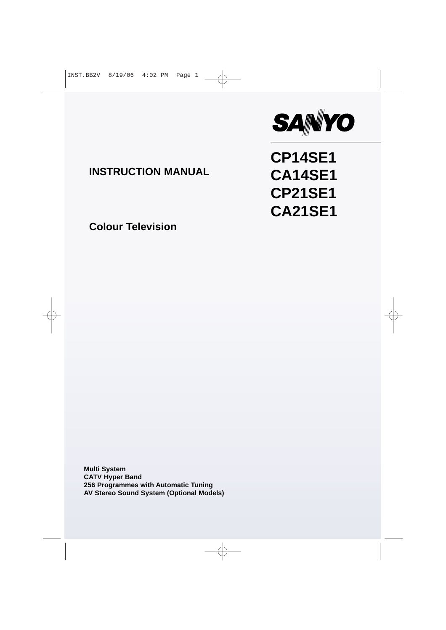

**CP14SE1**

**CA14SE1**

**CP21SE1**

**CA21SE1**

## **INSTRUCTION MANUAL**

**Colour Television**

**Multi System CATV Hyper Band 256 Programmes with Automatic Tuning AV Stereo Sound System (Optional Models)**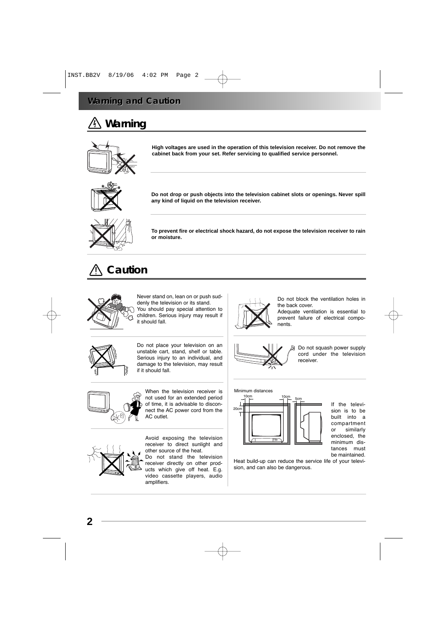# **Warning**



**High voltages are used in the operation of this television receiver. Do not remove the cabinet back from your set. Refer servicing to qualified service personnel.** 



**Do not drop or push objects into the television cabinet slots or openings. Never spill any kind of liquid on the television receiver.**



**To prevent fire or electrical shock hazard, do not expose the television receiver to rain or moisture.**

## **Caution**



Never stand on, lean on or push suddenly the television or its stand. You should pay special attention to children. Serious injury may result if it should fall.



Do not block the ventilation holes in the back cover.

Adequate ventilation is essential to prevent failure of electrical components.



Do not place your television on an unstable cart, stand, shelf or table. Serious injury to an individual, and damage to the television, may result if it should fall.



When the television receiver is not used for an extended period of time, it is advisable to disconnect the AC power cord from the AC outlet.



Avoid exposing the television receiver to direct sunlight and other source of the heat.

Do not stand the television receiver directly on other products which give off heat. E.g. video cassette players, audio amplifiers.



Do not squash power supply cord under the television receiver.



If the television is to be built into a compartment or similarly enclosed, the minimum distances must be maintained.

Heat build-up can reduce the service life of your television, and can also be dangerous.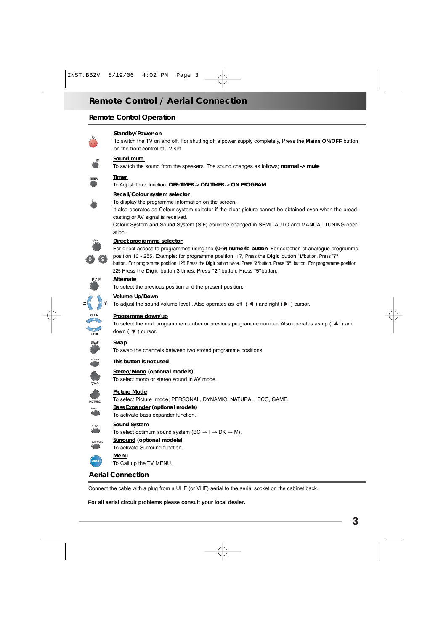### **Remote Control Operation**



#### **Standby/Power-on**

To switch the TV on and off. For shutting off a power supply completely, Press the **Mains ON/OFF** button on the front control of TV set.



**TIMER**

#### **Sound mute**

To switch the sound from the speakers. The sound changes as follows; normal -> mute

#### **Timer**

To Adjust Timer function **OFF-TIMER -> ON TIMER -> ON PROGRAM**

#### **Recall/Colour system selector**

To display the programme information on the screen.

It also operates as Colour system selector if the clear picture cannot be obtained even when the broadcasting or AV signal is received.

Colour System and Sound System (SIF) could be changed in SEMI -AUTO and MANUAL TUNING operation.



**-/- - P P**

#### **Direct programme selector**

For direct access to programmes using the (0-9) numeric button. For selection of analogue programme position 10 - 255, Example: for programme position 17, Press the **Digit** button "**1"**button. Press "**7"** button. For programme position 125 Press the **Digit** button twice. Press "**2"**button. Press "**5"** button. For programme position

#### **Alternate**

To select the previous position and the present position.

225 Press the **Digit** button 3 times. Press **"2"** button. Press "**5"**button.



To adjust the sound volume level . Also operates as left  $($   $\blacktriangleleft)$  and right  $($   $\blacktriangleright)$  cursor.



#### **Programme down/up**

To select the next programme number or previous programme number. Also operates as up  $($   $\blacktriangle$   $)$  and down  $(\nabla)$  cursor.

#### **SWAP Swap**

To swap the channels between two stored programme positions



**A•B**

**PICTURE**

**BASS**

**SURROU** 

**MENU**

#### **This button is not used**

**Stereo/Mono (optional models)** To select mono or stereo sound in AV mode.

#### **Picture Mode**

To select Picture mode; PERSONAL, DYNAMIC, NATURAL, ECO, GAME. **Bass Expander (optional models)** To activate bass expander function.

#### **Sound System**

**S. SYS** To select optimum sound system (BG  $\rightarrow$  I  $\rightarrow$  DK  $\rightarrow$  M).

- **Surround (optional models)**
- To activate Surround function.
	- **Menu**
		- To Call up the TV MENU.

### **Aerial Connection**

Connect the cable with a plug from a UHF (or VHF) aerial to the aerial socket on the cabinet back.

**For all aerial circuit problems please consult your local dealer.**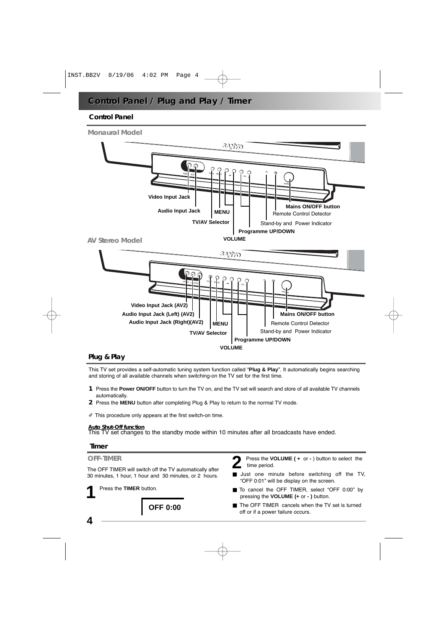### **Control Panel / Plug and Play / Timer**

### **Control Panel**



#### **Plug & Play**

This TV set provides a self-automatic tuning system function called "**Plug & Play**". It automatically begins searching and storing of all available channels when switching-on the TV set for the first time.

- **1** Press the **Power ON/OFF** button to turn the TV on, and the TV set will search and store of all available TV channels automatically.
- **2** Press the **MENU** button after completing Plug & Play to return to the normal TV mode.
- $\mathbb Z$  This procedure only appears at the first switch-on time.

**Auto Shut-Off function** This TV set changes to the standby mode within 10 minutes after all broadcasts have ended.

#### **Timer**

#### **OFF-TIMER**

The OFF TIMER will switch off the TV automatically after 30 minutes, 1 hour, 1 hour and 30 minutes, or 2 hours.

**1** Press the **TIMER** button.

**OFF 0:00**

**2** Press the **VOLUME ( +** or **-** ) button to select the time period.

- Just one minute before switching off the TV, "OFF 0:01" will be display on the screen.
- To cancel the OFF TIMER, select "OFF 0:00" by pressing the **VOLUME (+** or **- )** button.
- The OFF TIMER cancels when the TV set is turned off or if a power failure occurs.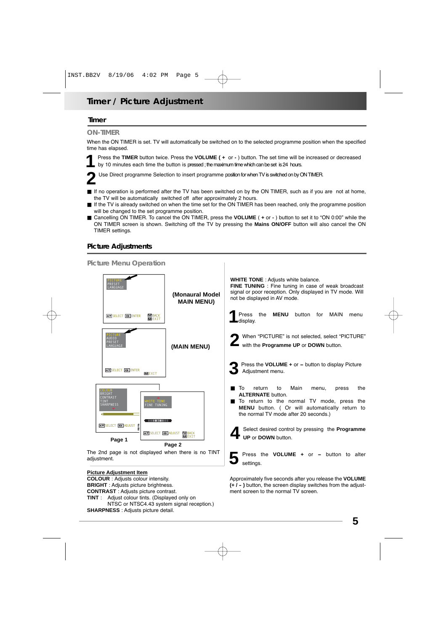### **Timer / Picture Adjustment**

#### **Timer**

#### **ON-TIMER**

When the ON TIMER is set. TV will automatically be switched on to the selected programme position when the specified time has elapsed.

**1** Press the **TIMER** button twice. Press the **VOLUME ( +** or **-** ) button. The set time will be increased or decreased by 10 minutes each time the button is pressed ; the maximum time which can be set is 24 hours.

**2** Use Direct programme Selection to insert programme position for when TV is switched on by ON TIMER.

- If no operation is performed after the TV has been switched on by the ON TIMER, such as if you are not at home, the TV will be automatically switched off after approximately 2 hours.
- If the TV is already switched on when the time set for the ON TIMER has been reached, only the programme position will be changed to the set programme position.
- Cancelling ON TIMER. To cancel the ON TIMER, press the **VOLUME** ( **+** or **-** ) button to set it to "ON 0:00" while the ON TIMER screen is shown. Switching off the TV by pressing the **Mains ON/OFF** button will also cancel the ON TIMER settings.

### **Picture Adjustments**



**(+ / - )** button, the screen display switches from the adjustment screen to the normal TV screen.

**TINT** : Adjust colour tints. (Displayed only on NTSC or NTSC4.43 system signal reception.) **SHARPNESS** : Adjusts picture detail.

**BRIGHT** : Adjusts picture brightness. **CONTRAST** : Adjusts picture contrast.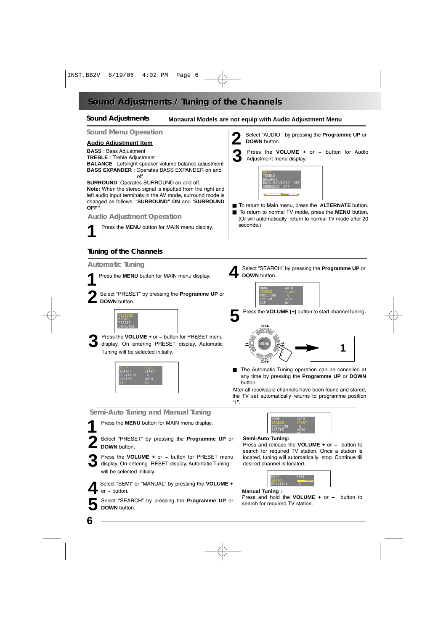### **Sound Adjustments / T / Tuning of the Channels uning of the Channels**

#### **Sound Adjustments**

#### **Monaural Models are not equip with Audio Adjustment Menu**

#### **Sound Menu Operation**

#### **Audio Adjustment Item**

**BASS** : Bass Adjustment **TREBLE** : Treble Adjustment **BALANCE** : Left/right speaker volume balance adjustment **BASS EXPANDER** : Operates BASS EXPANDER on and  $\sim$ ff

#### **SURROUND** :Operates SURROUND on and off.

**Note:** When the stereo signal is inputted from the right and left audio input terminals in the AV mode, surround mode is changed as follows; "**SURROUND" ON** and "**SURROUND OFF"**.

#### **Audio Adjustment Operation**

**1** Press the **MENU** button for MAIN menu display.

### **Tuning of the Channels**

#### **Automatic Tuning**

**1** Press the **MENU** button for MAIN menu display.

**2** Select "PRESET" by pressing the **Programme UP** or **DOWN** button.



**3** Press the **VOLUME** + or – button for PRESET menu<br>display. On entering PRESET display, Automatic Tuning will be selected initially.



#### **Semi-Auto Tuning and Manual Tuning**

**1** Press the **MENU** button for MAIN menu display.

**2** Select "PRESET" by pressing the **Programme UP** or **DOWN** button.

**3** Press the **VOLUME +** or **-** button for PRESET menu display. On entering RESET display, Automatic Tuning will be selected initially.



**5** Select "SEARCH" by pressing the **Programme UP** or **DOWN** button.



**3** Press the **VOLUME +** or **-** button for Audio Adjustment menu display.



- To return to Main menu, press the **ALTERNATE** button. ■ To return to normal TV mode, press the **MENU** button.
- (Or will automatically return to normal TV mode after 20 seconds.)

**4** Select "SEARCH" by pressing the **Programme UP** or **DOWN** button.



**-/- -**





■ The Automatic Tuning operation can be cancelled at any time by pressing the **Programme UP** or **DOWN** button.

After all receivable channels have been found and stored, the TV set automatically returns to programme position "1".



#### **Semi-Auto Tuning:**

Press and release the **VOLUME +** or **-** button to search for required TV station. Once a station is located, tuning will automatically stop. Continue till desired channel is located.



#### **Manual Tuning :**

Press and hold the **VOLUME +** or **-** button to search for required TV station.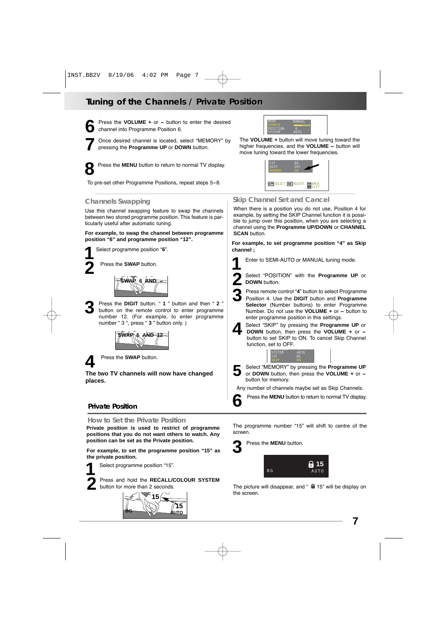## **Tuning of the Channels / Private Position uning of the Channels / Private Position**

**6** Press the **VOLUME +** or **-** button to enter the desired channel into Programme Position 6.

**7** Once desired channel is located, select "MEMORY" by pressing the **Programme UP** or **DOWN** button.

**8** Press the **MENU** button to return to normal TV display.

To pre-set other Programme Positions, repeat steps 5-8.

#### **Channels Swapping**

Use this channel swapping feature to swap the channels between two stored programme position. This feature is particularly useful after automatic tuning.

**For example, to swap the channel between programme position "6" and programme position "12".**



**2** Press the **SWAP** button.



**3** Press the **DIGIT** button, " **<sup>1</sup>** " button and then " **<sup>2</sup>** " button on the remote control to enter programme number 12. (For example, to enter programme number " 3 ", press " **3** " button only. )



**4** Press the **SWAP** button.

**The two TV channels will now have changed places.**

### **Private Position**

#### **How to Set the Private Position**

**Private position is used to restrict of programme positions that you do not want others to watch. Any position can be set as the Private position.**

**For example, to set the programme position "15" as the private position.**

**1** Select programme position "15".

**2** Press and hold the **RECALL/COLOUR SYSTEM** button for more than 2 seconds.





The **VOLUME +** button will move tuning toward the higher frequencies, and the **VOLUME -** button will move tuning toward the lower frequencies.



### **Skip Channel Set and Cancel**

When there is a position you do not use, Position 4 for example, by setting the SKIP Channel function it is possible to jump over this position, when you are selecting a channel using the **Programme UP/DOWN** or **CHANNEL SCAN** button.

**For example, to set programme position "4" as Skip channel ;**

**1** Enter to SEMI-AUTO or MANUAL tuning mode.



**2** Select "POSITION" with the **Programme UP** or **DOWN** button.

**3** Press remote control "**4**" button to select Programme

Position 4. Use the **DIGIT** button and **Programme Selector** (Number buttons) to enter Programme Number. Do not use the **VOLUME +** or **-** button to enter programme position in this settings.



**4** Select "SKIP" by pressing the **Programme UP** or **-**<br>**DOWN** button, then press the **VOLUME** + or -<br>button to set SKIP to ON To cancel Skip Channel button to set SKIP to ON. To cancel Skip Channel function, set to OFF.



**5** Select "MEMORY" by pressing the **Programme UP** or **DOWN** button, then press the **VOLUME +** or  button for memory. Select "MEMORY" by pressing the Programme UP

Any number of channels maybe set as Skip Channels.



The programme number "15" will shift to centre of the screen.

**3** Press the **MENU** button.



The picture will disappear, and "  $\theta$  15" will be display on the screen.

**7**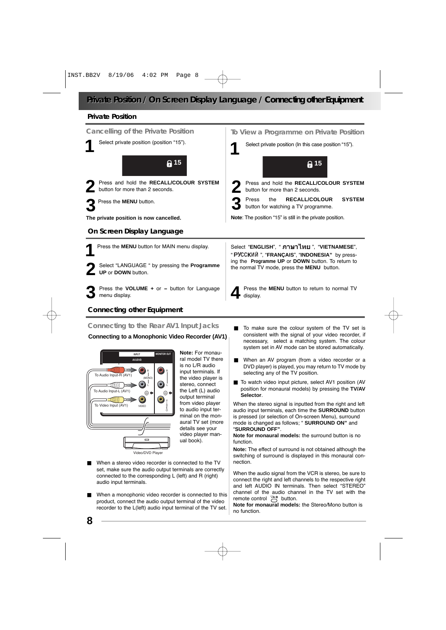### **Private Position / On Screen Display Language / Connecting other Equipment**

#### **Private Position**



### **Connecting other Equipment**

#### **Connecting to the Rear AV1 Input Jacks**

#### **Connecting to a Monophonic Video Recorder (AV1)**



**Note:** For monaural model TV there is no L/R audio input terminals. If the video player is stereo, connect the Left (L) audio output terminal from video player to audio input terminal on the monaural TV set (more details see your video player manual book).

- When a stereo video recorder is connected to the TV set, make sure the audio output terminals are correctly connected to the corresponding L (left) and R (right) audio input terminals.
- When a monophonic video recorder is connected to this product, connect the audio output terminal of the video recorder to the L(left) audio input terminal of the TV set.
- To make sure the colour system of the TV set is consistent with the signal of your video recorder, if necessary, select a matching system. The colour system set in AV mode can be stored automatically.
- When an AV program (from a video recorder or a DVD player) is played, you may return to TV mode by selecting any of the TV position.
- To watch video input picture, select AV1 position (AV position for monaural models) by pressing the **TV/AV Selector**.

When the stereo signal is inputted from the right and left audio input terminals, each time the **SURROUND** button is pressed (or selection of On-screen Menu), surround mode is changed as follows; " **SURROUND ON"** and "**SURROUND OFF"**.

**Note for monaural models:** the surround button is no function.

**Note:** The effect of surround is not obtained although the switching of surround is displayed in this monaural connection.

When the audio signal from the VCR is stereo, be sure to connect the right and left channels to the respective right and left AUDIO IN terminals. Then select "STEREO" channel of the audio channel in the TV set with the remote control  $\overline{A}$  button.

**Note for monaural models:** the Stereo/Mono button is no function.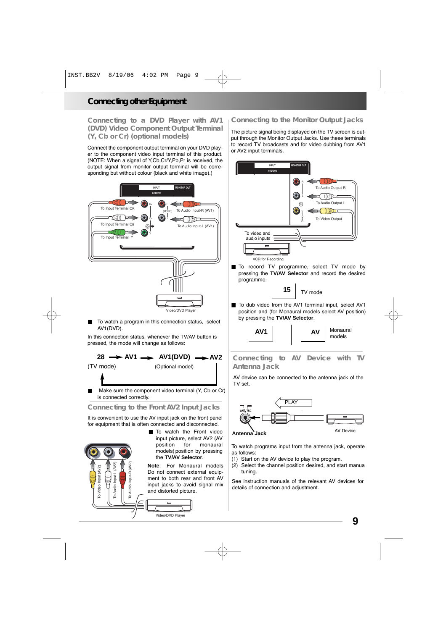**Connecting to a DVD Player with AV1 (DVD) Video Component Output Terminal (Y, Cb or Cr) (optional models)**

Connect the component output terminal on your DVD player to the component video input terminal of this product. (NOTE: When a signal of Y,Cb,Cr/Y,Pb,Pr is received, the output signal from monitor output terminal will be corresponding but without colour (black and white image).)



To watch a program in this connection status, select AV1(DVD).

In this connection status, whenever the TV/AV button is pressed, the mode will change as follows:

#### **28 AV1 AV1(DVD) AV2** (TV mode) (Optional model)

Make sure the component video terminal (Y, Cb or Cr) is connected correctly.

#### **Connecting to the Front AV2 Input Jacks**

It is convenient to use the AV input jack on the front panel for equipment that is often connected and disconnected.



■ To watch the Front video input picture, select AV2 (AV position for monaural models) position by pressing the **TV/AV Selector**.

**Note**: For Monaural models Do not connect external equipment to both rear and front AV input jacks to avoid signal mix and distorted picture.



### **Connecting to the Monitor Output Jacks**

The picture signal being displayed on the TV screen is output through the Monitor Output Jacks. Use these terminals to record TV broadcasts and for video dubbing from AV1 or AV2 input terminals.



■ To record TV programme, select TV mode by pressing the **TV/AV Selector** and record the desired programme.

TV mode **15**

■ To dub video from the AV1 terminal input, select AV1 position and (for Monaural models select AV position) by pressing the **TV/AV Selector**.



#### **Connecting to AV Device with TV Antenna Jack**

AV device can be connected to the antenna jack of the TV set.



To watch programs input from the antenna jack, operate as follows:

- (1) Start on the AV device to play the program.
- (2) Select the channel position desired, and start manua tuning.

See instruction manuals of the relevant AV devices for details of connection and adjustment.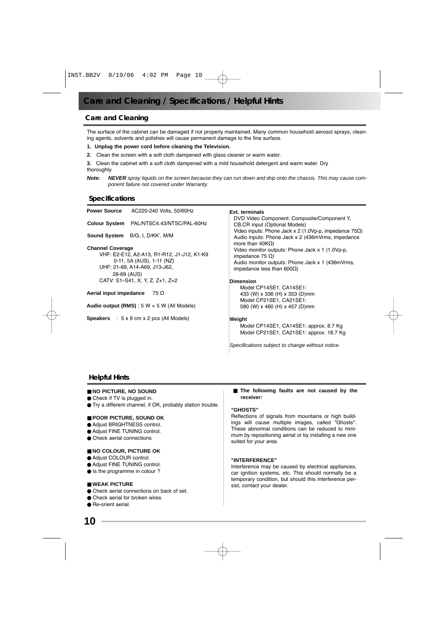### **Care and Cleaning**

The surface of the cabinet can be damaged if not properly maintained. Many common household aerosol sprays, cleaning agents, solvents and polishes will cause permanent damage to the fine surface.

#### **1. Unplug the power cord before cleaning the Television.**

**2.** Clean the screen with a soft cloth dampened with glass cleaner or warm water.

**3.** Clean the cabinet with a soft cloth dampened with a mild household detergent and warm water. Dry thoroughly.

**Note: NEVER** spray liquids on the screen because they can run down and drip onto the chassis. This may cause component failure not covered under Warranty.

#### **Specifications**

| Power Source                               | AC220-240 Volts, 50/60Hz                                      | Ext. terminals<br>DVD Video Component: Composite/Component Y.<br><b>CB, CR input (Optional Models)</b>             |  |
|--------------------------------------------|---------------------------------------------------------------|--------------------------------------------------------------------------------------------------------------------|--|
|                                            | Colour System PAL/NTSC4.43/NTSC/PAL-60Hz                      |                                                                                                                    |  |
|                                            | <b>Sound System</b> B/G, I, D/KK', M/M                        | Video inputs: Phone Jack x 2 (1.0Vp-p, impedance $75\Omega$ )<br>Audio inputs: Phone Jack x 2 (436mVrms, impedance |  |
| <b>Channel Coverage</b>                    |                                                               | more than 40KΩ)<br>Video monitor outputs: Phone Jack x 1 (1.0Vp-p,                                                 |  |
| VHF: E2-E12, A2-A13, R1-R12, J1-J12, K1-K9 |                                                               | impedance 75 Ω)                                                                                                    |  |
| 0-11, 5A (AUS), 1-11 (NZ)                  |                                                               | Audio monitor outputs: Phone Jack x 1 (436mVrms,                                                                   |  |
| UHF: 21-69, A14-A69, J13-J62,              |                                                               | impedance less than 600 $\Omega$ )                                                                                 |  |
| 28-69 (AUS)                                |                                                               |                                                                                                                    |  |
| CATV: S1-S41, X, Y, Z, Z+1, Z+2            |                                                               | <b>Dimension</b>                                                                                                   |  |
|                                            |                                                               | Model CP14SE1, CA14SE1:                                                                                            |  |
| Aerial input impedance<br>75 Ω             |                                                               | 433 (W) x 336 (H) x 353 (D)mm                                                                                      |  |
|                                            |                                                               | Model CP21SE1, CA21SE1:                                                                                            |  |
|                                            | Audio output (RMS) : $5 W + 5 W$ (All Models)                 | 580 (W) x 460 (H) x 457 (D)mm                                                                                      |  |
|                                            | <b>Speakers</b> : $5 \times 9$ cm $\times 2$ pcs (All Models) | Weight                                                                                                             |  |
|                                            |                                                               | Model CP14SE1, CA14SE1: approx. 8.7 Kg                                                                             |  |
|                                            |                                                               | Model CP21SE1, CA21SE1: approx. 18.7 Kg                                                                            |  |
|                                            |                                                               | Specifications subiect to change without notice.                                                                   |  |

#### **Helpful Hints**

#### ■ **NO PICTURE, NO SOUND**

- Check if TV is plugged in.
- Try a different channel, if OK, probably station trouble.

#### ■ **POOR PICTURE, SOUND OK**

- Adjust BRIGHTNESS control.
- Adiust FINE TUNING control.
- Check aerial connections

#### ■ **NO COLOUR, PICTURE OK**

- Adjust COLOUR control.
- Adjust FINE TUNING control.
- Is the programme in colour ?

#### ■ **WEAK PICTURE**

- Check aerial connections on back of set.
- Check aerial for broken wires
- Re-orient aerial.

■ **The following faults are not caused by the receiver:**

#### **"GHOSTS"**

Reflections of signals from mountains or high buildings will cause multiple images, called "Ghosts". These abnormal conditions can be reduced to minimum by repositioning aerial or by installing a new one suited for your area.

#### **"INTERFERENCE"**

Interference may be caused by electrical appliances, car ignition systems, etc. This should normally be a temporary condition, but should this interference persist, contact your dealer.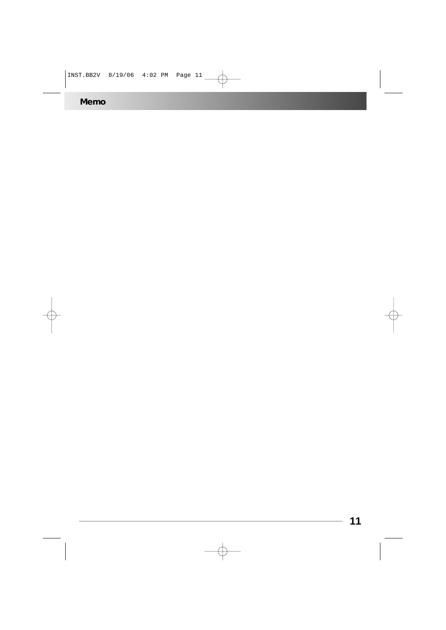**Memo**